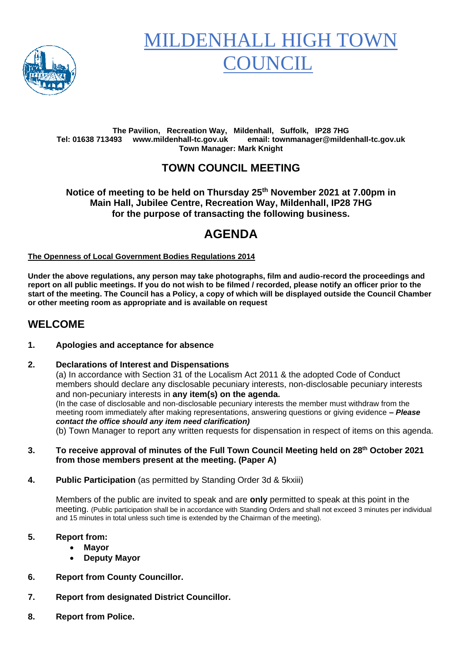

# **MILDENHALL HIGH TO OUNCIL**

#### **The Pavilion, Recreation Way, Mildenhall, Suffolk, IP28 7HG Tel: 01638 713493 www.mildenhall-tc.gov.uk email: townmanager@mildenhall-tc.gov.uk Town Manager: Mark Knight**

# **TOWN COUNCIL MEETING**

#### **Notice of meeting to be held on Thursday 25 th November 2021 at 7.00pm in Main Hall, Jubilee Centre, Recreation Way, Mildenhall, IP28 7HG for the purpose of transacting the following business.**

# **AGENDA**

#### **The Openness of Local Government Bodies Regulations 2014**

**Under the above regulations, any person may take photographs, film and audio-record the proceedings and report on all public meetings. If you do not wish to be filmed / recorded, please notify an officer prior to the start of the meeting. The Council has a Policy, a copy of which will be displayed outside the Council Chamber or other meeting room as appropriate and is available on request**

### **WELCOME**

#### **1. Apologies and acceptance for absence**

#### **2. Declarations of Interest and Dispensations**

(a) In accordance with Section 31 of the Localism Act 2011 & the adopted Code of Conduct members should declare any disclosable pecuniary interests, non-disclosable pecuniary interests and non-pecuniary interests in **any item(s) on the agenda.** (In the case of disclosable and non-disclosable pecuniary interests the member must withdraw from the meeting room immediately after making representations, answering questions or giving evidence **–** *Please contact the office should any item need clarification)* (b) Town Manager to report any written requests for dispensation in respect of items on this agenda.

**3. To receive approval of minutes of the Full Town Council Meeting held on 28th October 2021 from those members present at the meeting. (Paper A)**

**4. Public Participation** (as permitted by Standing Order 3d & 5kxiii)

Members of the public are invited to speak and are **only** permitted to speak at this point in the meeting. (Public participation shall be in accordance with Standing Orders and shall not exceed 3 minutes per individual and 15 minutes in total unless such time is extended by the Chairman of the meeting).

#### **5. Report from:**

- **Mayor**
- **Deputy Mayor**
- **6. Report from County Councillor.**
- **7. Report from designated District Councillor.**
- **8. Report from Police.**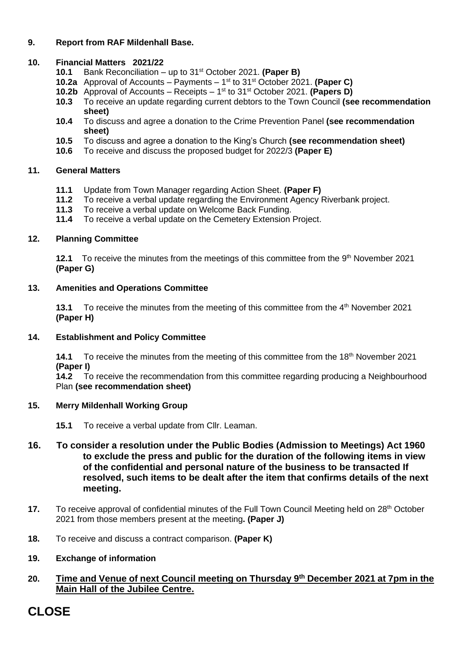#### **9. Report from RAF Mildenhall Base.**

#### **10. Financial Matters 2021/22**

- **10.1** Bank Reconciliation up to 31 st October 2021. **(Paper B)**
- **10.2a** Approval of Accounts Payments 1 st to 31 st October 2021. **(Paper C)**
- **10.2b** Approval of Accounts Receipts 1<sup>st</sup> to 31<sup>st</sup> October 2021. **(Papers D)**
- **10.3** To receive an update regarding current debtors to the Town Council **(see recommendation sheet)**
- **10.4** To discuss and agree a donation to the Crime Prevention Panel **(see recommendation sheet)**
- **10.5** To discuss and agree a donation to the King's Church **(see recommendation sheet)**
- **10.6** To receive and discuss the proposed budget for 2022/3 **(Paper E)**

#### **11. General Matters**

- **11.1** Update from Town Manager regarding Action Sheet. **(Paper F)**
- **11.2** To receive a verbal update regarding the Environment Agency Riverbank project.
- **11.3** To receive a verbal update on Welcome Back Funding.
- **11.4** To receive a verbal update on the Cemetery Extension Project.

#### **12. Planning Committee**

**12.1** To receive the minutes from the meetings of this committee from the 9<sup>th</sup> November 2021 **(Paper G)**

#### **13. Amenities and Operations Committee**

**13.1** To receive the minutes from the meeting of this committee from the 4<sup>th</sup> November 2021 **(Paper H)**

#### **14. Establishment and Policy Committee**

**14.1** To receive the minutes from the meeting of this committee from the 18<sup>th</sup> November 2021 **(Paper I)**

**14.2** To receive the recommendation from this committee regarding producing a Neighbourhood Plan **(see recommendation sheet)**

#### **15. Merry Mildenhall Working Group**

- **15.1** To receive a verbal update from Cllr. Leaman.
- **16. To consider a resolution under the Public Bodies (Admission to Meetings) Act 1960 to exclude the press and public for the duration of the following items in view of the confidential and personal nature of the business to be transacted If resolved, such items to be dealt after the item that confirms details of the next meeting.**
- **17.** To receive approval of confidential minutes of the Full Town Council Meeting held on 28<sup>th</sup> October 2021 from those members present at the meeting**. (Paper J)**
- **18.** To receive and discuss a contract comparison. **(Paper K)**
- **19. Exchange of information**

#### **20. Time and Venue of next Council meeting on Thursday 9 th December 2021 at 7pm in the Main Hall of the Jubilee Centre.**

# **CLOSE**